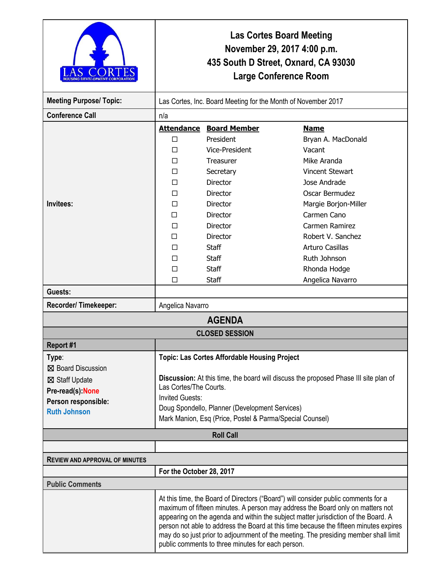|                                                                                                                  | Las Cortes Board Meeting<br>November 29, 2017 4:00 p.m.<br>435 South D Street, Oxnard, CA 93030<br><b>Large Conference Room</b>                                                                                                                                                                               |                                                                                                                                                                                                                        |                                                                                                                                                                                                                                                                                                                                                                                                                                             |  |
|------------------------------------------------------------------------------------------------------------------|---------------------------------------------------------------------------------------------------------------------------------------------------------------------------------------------------------------------------------------------------------------------------------------------------------------|------------------------------------------------------------------------------------------------------------------------------------------------------------------------------------------------------------------------|---------------------------------------------------------------------------------------------------------------------------------------------------------------------------------------------------------------------------------------------------------------------------------------------------------------------------------------------------------------------------------------------------------------------------------------------|--|
| <b>Meeting Purpose/ Topic:</b>                                                                                   | Las Cortes, Inc. Board Meeting for the Month of November 2017                                                                                                                                                                                                                                                 |                                                                                                                                                                                                                        |                                                                                                                                                                                                                                                                                                                                                                                                                                             |  |
| <b>Conference Call</b>                                                                                           | n/a                                                                                                                                                                                                                                                                                                           |                                                                                                                                                                                                                        |                                                                                                                                                                                                                                                                                                                                                                                                                                             |  |
| Invitees:                                                                                                        | $\Box$<br>п<br>П<br>П<br>П<br>П<br>□<br>П<br>П<br>П<br>□<br>П<br>П                                                                                                                                                                                                                                            | <b>Attendance Board Member</b><br>President<br>Vice-President<br>Treasurer<br>Secretary<br><b>Director</b><br><b>Director</b><br>Director<br><b>Director</b><br>Director<br><b>Director</b><br>Staff<br>Staff<br>Staff | <b>Name</b><br>Bryan A. MacDonald<br>Vacant<br>Mike Aranda<br><b>Vincent Stewart</b><br>Jose Andrade<br>Oscar Bermudez<br>Margie Borjon-Miller<br>Carmen Cano<br>Carmen Ramirez<br>Robert V. Sanchez<br>Arturo Casillas<br>Ruth Johnson<br>Rhonda Hodge                                                                                                                                                                                     |  |
|                                                                                                                  | П                                                                                                                                                                                                                                                                                                             | Staff                                                                                                                                                                                                                  | Angelica Navarro                                                                                                                                                                                                                                                                                                                                                                                                                            |  |
| Guests:                                                                                                          |                                                                                                                                                                                                                                                                                                               |                                                                                                                                                                                                                        |                                                                                                                                                                                                                                                                                                                                                                                                                                             |  |
| Recorder/Timekeeper:                                                                                             | Angelica Navarro                                                                                                                                                                                                                                                                                              |                                                                                                                                                                                                                        |                                                                                                                                                                                                                                                                                                                                                                                                                                             |  |
| <b>AGENDA</b>                                                                                                    |                                                                                                                                                                                                                                                                                                               |                                                                                                                                                                                                                        |                                                                                                                                                                                                                                                                                                                                                                                                                                             |  |
| <b>CLOSED SESSION</b>                                                                                            |                                                                                                                                                                                                                                                                                                               |                                                                                                                                                                                                                        |                                                                                                                                                                                                                                                                                                                                                                                                                                             |  |
| Report #1                                                                                                        |                                                                                                                                                                                                                                                                                                               |                                                                                                                                                                                                                        |                                                                                                                                                                                                                                                                                                                                                                                                                                             |  |
| Type:<br>⊠ Board Discussion<br>⊠ Staff Update<br>Pre-read(s): None<br>Person responsible:<br><b>Ruth Johnson</b> | <b>Topic: Las Cortes Affordable Housing Project</b><br>Discussion: At this time, the board will discuss the proposed Phase III site plan of<br>Las Cortes/The Courts.<br><b>Invited Guests:</b><br>Doug Spondello, Planner (Development Services)<br>Mark Manion, Esq (Price, Postel & Parma/Special Counsel) |                                                                                                                                                                                                                        |                                                                                                                                                                                                                                                                                                                                                                                                                                             |  |
| <b>Roll Call</b>                                                                                                 |                                                                                                                                                                                                                                                                                                               |                                                                                                                                                                                                                        |                                                                                                                                                                                                                                                                                                                                                                                                                                             |  |
|                                                                                                                  |                                                                                                                                                                                                                                                                                                               |                                                                                                                                                                                                                        |                                                                                                                                                                                                                                                                                                                                                                                                                                             |  |
| <b>REVIEW AND APPROVAL OF MINUTES</b>                                                                            |                                                                                                                                                                                                                                                                                                               |                                                                                                                                                                                                                        |                                                                                                                                                                                                                                                                                                                                                                                                                                             |  |
| For the October 28, 2017                                                                                         |                                                                                                                                                                                                                                                                                                               |                                                                                                                                                                                                                        |                                                                                                                                                                                                                                                                                                                                                                                                                                             |  |
| <b>Public Comments</b>                                                                                           |                                                                                                                                                                                                                                                                                                               | public comments to three minutes for each person.                                                                                                                                                                      | At this time, the Board of Directors ("Board") will consider public comments for a<br>maximum of fifteen minutes. A person may address the Board only on matters not<br>appearing on the agenda and within the subject matter jurisdiction of the Board. A<br>person not able to address the Board at this time because the fifteen minutes expires<br>may do so just prior to adjournment of the meeting. The presiding member shall limit |  |